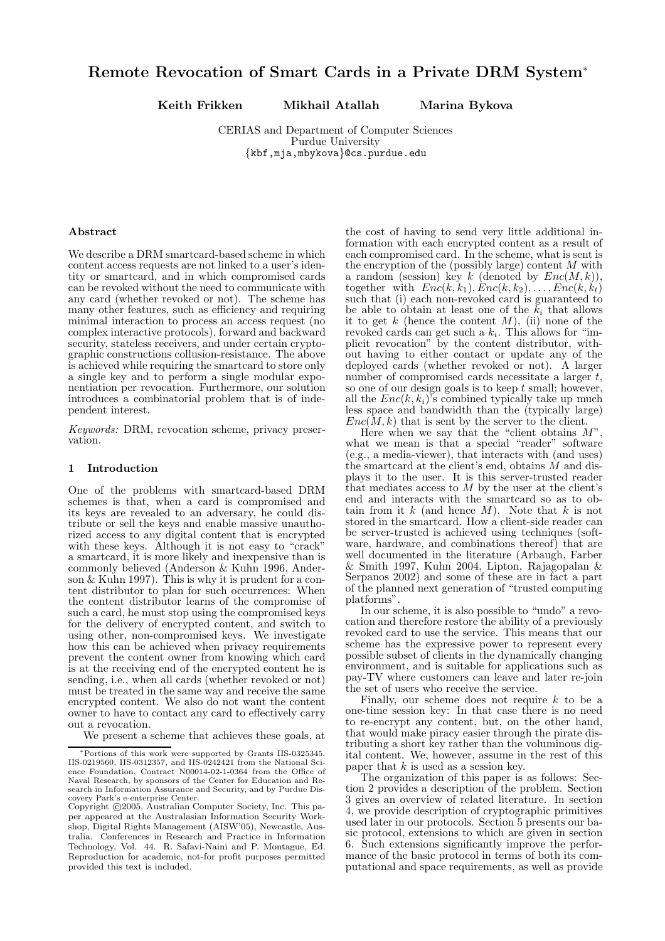# Remote Revocation of Smart Cards in a Private DRM System<sup>∗</sup>

Keith Frikken Mikhail Atallah Marina Bykova

CERIAS and Department of Computer Sciences Purdue University {kbf,mja,mbykova}@cs.purdue.edu

#### Abstract

We describe a DRM smartcard-based scheme in which content access requests are not linked to a user's identity or smartcard, and in which compromised cards can be revoked without the need to communicate with any card (whether revoked or not). The scheme has many other features, such as efficiency and requiring minimal interaction to process an access request (no complex interactive protocols), forward and backward security, stateless receivers, and under certain cryptographic constructions collusion-resistance. The above is achieved while requiring the smartcard to store only a single key and to perform a single modular exponentiation per revocation. Furthermore, our solution introduces a combinatorial problem that is of independent interest.

Keywords: DRM, revocation scheme, privacy preservation.

#### 1 Introduction

One of the problems with smartcard-based DRM schemes is that, when a card is compromised and its keys are revealed to an adversary, he could distribute or sell the keys and enable massive unauthorized access to any digital content that is encrypted with these keys. Although it is not easy to "crack" a smartcard, it is more likely and inexpensive than is commonly believed (Anderson & Kuhn 1996, Anderson  $&$  Kuhn 1997). This is why it is prudent for a content distributor to plan for such occurrences: When the content distributor learns of the compromise of such a card, he must stop using the compromised keys for the delivery of encrypted content, and switch to using other, non-compromised keys. We investigate how this can be achieved when privacy requirements prevent the content owner from knowing which card is at the receiving end of the encrypted content he is sending, i.e., when all cards (whether revoked or not) must be treated in the same way and receive the same encrypted content. We also do not want the content owner to have to contact any card to effectively carry out a revocation.

We present a scheme that achieves these goals, at

the cost of having to send very little additional information with each encrypted content as a result of each compromised card. In the scheme, what is sent is the encryption of the (possibly large) content  $M$  with a random (session) key k (denoted by  $Enc(M, k)$ ), together with  $Enc(k, k_1), Enc(k, k_2), \ldots, Enc(k, k_t)$ such that (i) each non-revoked card is guaranteed to be able to obtain at least one of the  $\tilde{k}_i$  that allows it to get  $k$  (hence the content  $M$ ), (ii) none of the revoked cards can get such a  $k_i$ . This allows for "implicit revocation" by the content distributor, without having to either contact or update any of the deployed cards (whether revoked or not). A larger number of compromised cards necessitate a larger  $t$ , so one of our design goals is to keep  $t$  small; however, all the  $Enc(k, k_i)$ 's combined typically take up much less space and bandwidth than the (typically large)  $Enc(\overline{M}, k)$  that is sent by the server to the client.

Here when we say that the "client obtains  $M$ " what we mean is that a special "reader" software (e.g., a media-viewer), that interacts with (and uses) the smartcard at the client's end, obtains  $\dot{M}$  and displays it to the user. It is this server-trusted reader that mediates access to  $M$  by the user at the client's end and interacts with the smartcard so as to obtain from it  $k$  (and hence  $M$ ). Note that  $k$  is not stored in the smartcard. How a client-side reader can be server-trusted is achieved using techniques (software, hardware, and combinations thereof) that are well documented in the literature (Arbaugh, Farber & Smith 1997, Kuhn 2004, Lipton, Rajagopalan & Serpanos 2002) and some of these are in fact a part of the planned next generation of "trusted computing platforms".

In our scheme, it is also possible to "undo" a revocation and therefore restore the ability of a previously revoked card to use the service. This means that our scheme has the expressive power to represent every possible subset of clients in the dynamically changing environment, and is suitable for applications such as pay-TV where customers can leave and later re-join the set of users who receive the service.

Finally, our scheme does not require  $k$  to be a one-time session key: In that case there is no need to re-encrypt any content, but, on the other hand, that would make piracy easier through the pirate distributing a short key rather than the voluminous digital content. We, however, assume in the rest of this paper that  $k$  is used as a session key.

The organization of this paper is as follows: Section 2 provides a description of the problem. Section 3 gives an overview of related literature. In section 4, we provide description of cryptographic primitives used later in our protocols. Section 5 presents our basic protocol, extensions to which are given in section 6. Such extensions significantly improve the performance of the basic protocol in terms of both its computational and space requirements, as well as provide

<sup>∗</sup>Portions of this work were supported by Grants IIS-0325345, IIS-0219560, IIS-0312357, and IIS-0242421 from the National Science Foundation, Contract N00014-02-1-0364 from the Office of Naval Research, by sponsors of the Center for Education and Research in Information Assurance and Security, and by Purdue Discovery Park's e-enterprise Center.

Copyright ©2005, Australian Computer Society, Inc. This paper appeared at the Australasian Information Security Workshop, Digital Rights Management (AISW'05), Newcastle, Australia. Conferences in Research and Practice in Information Technology, Vol. 44. R. Safavi-Naini and P. Montague, Ed. Reproduction for academic, not-for profit purposes permitted provided this text is included.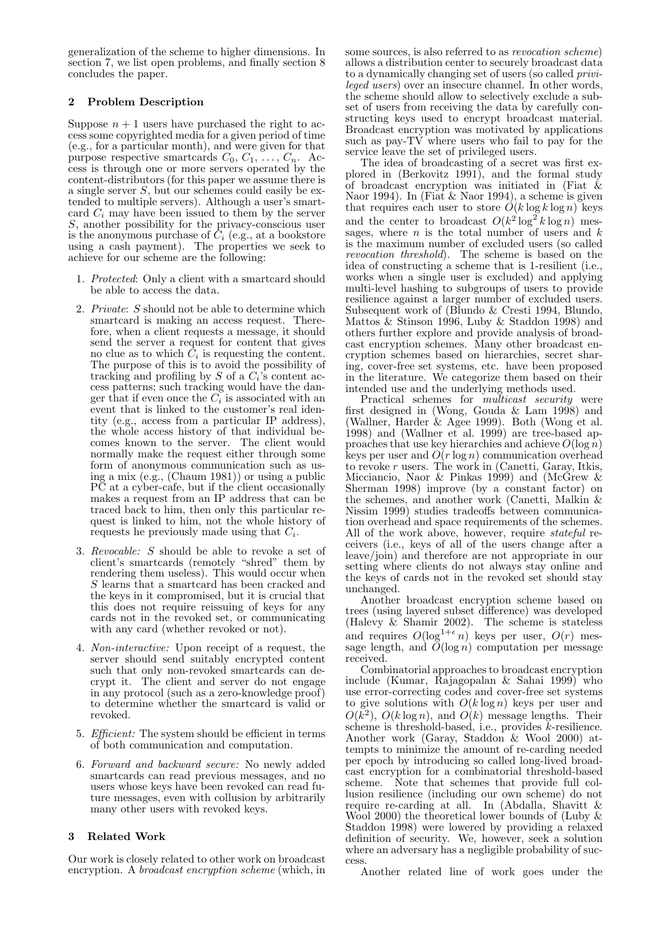generalization of the scheme to higher dimensions. In section 7, we list open problems, and finally section 8 concludes the paper.

# 2 Problem Description

Suppose  $n + 1$  users have purchased the right to access some copyrighted media for a given period of time (e.g., for a particular month), and were given for that purpose respective smartcards  $C_0, C_1, \ldots, C_n$ . Access is through one or more servers operated by the content-distributors (for this paper we assume there is a single server  $S$ , but our schemes could easily be extended to multiple servers). Although a user's smartcard  $C_i$  may have been issued to them by the server S, another possibility for the privacy-conscious user is the anonymous purchase of  $C_i$  (e.g., at a bookstore using a cash payment). The properties we seek to achieve for our scheme are the following:

- 1. Protected: Only a client with a smartcard should be able to access the data.
- 2. Private: S should not be able to determine which smartcard is making an access request. Therefore, when a client requests a message, it should send the server a request for content that gives no clue as to which  $C_i$  is requesting the content. The purpose of this is to avoid the possibility of tracking and profiling by  $S$  of a  $C_i$ 's content access patterns; such tracking would have the danger that if even once the  $C_i$  is associated with an event that is linked to the customer's real identity (e.g., access from a particular IP address), the whole access history of that individual becomes known to the server. The client would normally make the request either through some form of anonymous communication such as using a mix (e.g., (Chaum 1981)) or using a public PC at a cyber-cafe, but if the client occasionally makes a request from an IP address that can be traced back to him, then only this particular request is linked to him, not the whole history of requests he previously made using that  $C_i$ .
- 3. Revocable: S should be able to revoke a set of client's smartcards (remotely "shred" them by rendering them useless). This would occur when S learns that a smartcard has been cracked and the keys in it compromised, but it is crucial that this does not require reissuing of keys for any cards not in the revoked set, or communicating with any card (whether revoked or not).
- 4. Non-interactive: Upon receipt of a request, the server should send suitably encrypted content such that only non-revoked smartcards can decrypt it. The client and server do not engage in any protocol (such as a zero-knowledge proof) to determine whether the smartcard is valid or revoked.
- 5. Efficient: The system should be efficient in terms of both communication and computation.
- 6. Forward and backward secure: No newly added smartcards can read previous messages, and no users whose keys have been revoked can read future messages, even with collusion by arbitrarily many other users with revoked keys.

# 3 Related Work

Our work is closely related to other work on broadcast encryption. A *broadcast encryption scheme* (which, in

some sources, is also referred to as revocation scheme) allows a distribution center to securely broadcast data to a dynamically changing set of users (so called privileged users) over an insecure channel. In other words, the scheme should allow to selectively exclude a subset of users from receiving the data by carefully constructing keys used to encrypt broadcast material. Broadcast encryption was motivated by applications such as  $pay-TV$  where users who fail to pay for the service leave the set of privileged users.

The idea of broadcasting of a secret was first explored in (Berkovitz 1991), and the formal study of broadcast encryption was initiated in (Fiat  $\&$ Naor 1994). In (Fiat & Naor 1994), a scheme is given that requires each user to store  $O(k \log k \log n)$  keys and the center to broadcast  $O(k^2 \log^2 k \log n)$  messages, where  $n$  is the total number of users and  $k$ is the maximum number of excluded users (so called revocation threshold). The scheme is based on the idea of constructing a scheme that is 1-resilient (i.e., works when a single user is excluded) and applying multi-level hashing to subgroups of users to provide resilience against a larger number of excluded users. Subsequent work of (Blundo & Cresti 1994, Blundo, Mattos & Stinson 1996, Luby & Staddon 1998) and others further explore and provide analysis of broadcast encryption schemes. Many other broadcast encryption schemes based on hierarchies, secret sharing, cover-free set systems, etc. have been proposed in the literature. We categorize them based on their intended use and the underlying methods used.

Practical schemes for *multicast security* were first designed in (Wong, Gouda & Lam 1998) and (Wallner, Harder & Agee 1999). Both (Wong et al. 1998) and (Wallner  $e\check{t}$  al. 1999) are tree-based approaches that use key hierarchies and achieve  $O(\log n)$ keys per user and  $O(r \log n)$  communication overhead to revoke r users. The work in (Canetti, Garay, Itkis, Micciancio, Naor & Pinkas 1999) and (McGrew & Sherman 1998) improve (by a constant factor) on the schemes, and another work (Canetti, Malkin & Nissim 1999) studies tradeoffs between communication overhead and space requirements of the schemes. All of the work above, however, require *stateful* receivers (i.e., keys of all of the users change after a leave/join) and therefore are not appropriate in our setting where clients do not always stay online and the keys of cards not in the revoked set should stay unchanged.

Another broadcast encryption scheme based on trees (using layered subset difference) was developed (Halevy & Shamir 2002). The scheme is stateless and requires  $O(\log^{1+\epsilon} n)$  keys per user,  $O(r)$  message length, and  $\tilde{O}(\log n)$  computation per message received.

Combinatorial approaches to broadcast encryption include (Kumar, Rajagopalan & Sahai 1999) who use error-correcting codes and cover-free set systems to give solutions with  $O(k \log n)$  keys per user and  $O(k^2)$ ,  $O(k \log n)$ , and  $O(k)$  message lengths. Their scheme is threshold-based, i.e., provides  $\bar{k}$ -resilience. Another work (Garay, Staddon & Wool 2000) attempts to minimize the amount of re-carding needed per epoch by introducing so called long-lived broadcast encryption for a combinatorial threshold-based scheme. Note that schemes that provide full collusion resilience (including our own scheme) do not require re-carding at all. In (Abdalla, Shavitt & Wool 2000) the theoretical lower bounds of (Luby & Staddon 1998) were lowered by providing a relaxed definition of security. We, however, seek a solution where an adversary has a negligible probability of success.

Another related line of work goes under the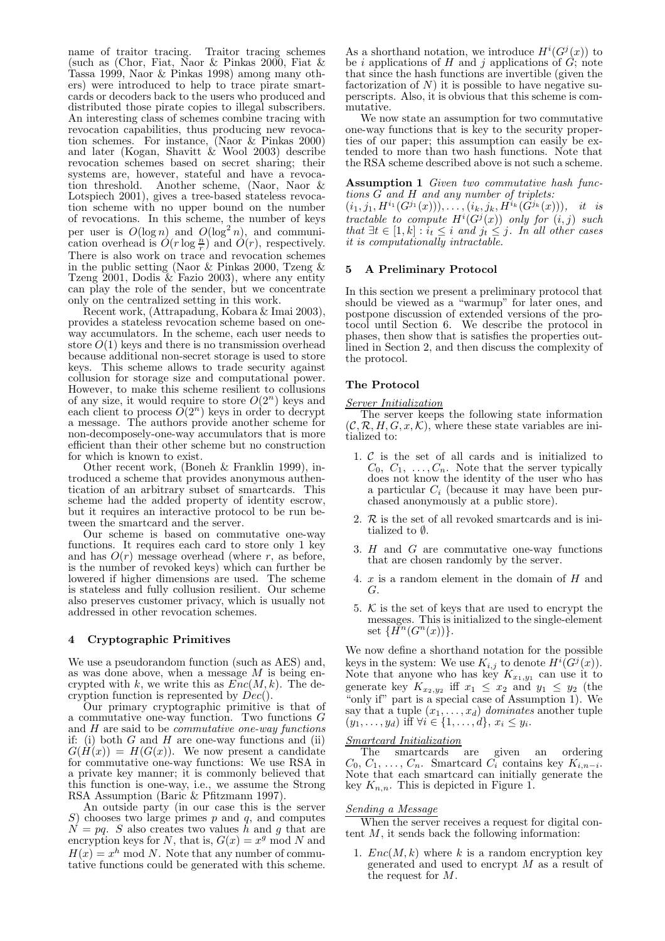name of traitor tracing. Traitor tracing schemes (such as (Chor, Fiat, Naor & Pinkas 2000, Fiat & Tassa 1999, Naor & Pinkas 1998) among many others) were introduced to help to trace pirate smartcards or decoders back to the users who produced and distributed those pirate copies to illegal subscribers. An interesting class of schemes combine tracing with revocation capabilities, thus producing new revocation schemes. For instance, (Naor & Pinkas 2000) and later (Kogan, Shavitt  $\&$  Wool 2003) describe revocation schemes based on secret sharing; their systems are, however, stateful and have a revocation threshold. Another scheme, (Naor, Naor & Lotspiech 2001), gives a tree-based stateless revocation scheme with no upper bound on the number of revocations. In this scheme, the number of keys per user is  $O(\log n)$  and  $O(\log^2 n)$ , and communication overhead is  $\hat{O}(r \log \frac{n}{r})$  and  $\hat{O}(r)$ , respectively. There is also work on trace and revocation schemes in the public setting (Naor & Pinkas 2000, Tzeng & Tzeng 2001, Dodis  $\&$  Fazio 2003), where any entity can play the role of the sender, but we concentrate only on the centralized setting in this work.

Recent work, (Attrapadung, Kobara & Imai 2003), provides a stateless revocation scheme based on oneway accumulators. In the scheme, each user needs to store  $O(1)$  keys and there is no transmission overhead because additional non-secret storage is used to store keys. This scheme allows to trade security against collusion for storage size and computational power. However, to make this scheme resilient to collusions of any size, it would require to store  $O(2^n)$  keys and each client to process  $\tilde{O}(2^n)$  keys in order to decrypt a message. The authors provide another scheme for non-decomposely-one-way accumulators that is more efficient than their other scheme but no construction for which is known to exist.

Other recent work, (Boneh & Franklin 1999), introduced a scheme that provides anonymous authentication of an arbitrary subset of smartcards. This scheme had the added property of identity escrow, but it requires an interactive protocol to be run between the smartcard and the server.

Our scheme is based on commutative one-way functions. It requires each card to store only 1 key and has  $O(r)$  message overhead (where r, as before, is the number of revoked keys) which can further be lowered if higher dimensions are used. The scheme is stateless and fully collusion resilient. Our scheme also preserves customer privacy, which is usually not addressed in other revocation schemes.

#### 4 Cryptographic Primitives

We use a pseudorandom function (such as AES) and, as was done above, when a message  $M$  is being encrypted with k, we write this as  $\widetilde{Enc}(M, k)$ . The decryption function is represented by  $Dec(.)$ .

Our primary cryptographic primitive is that of a commutative one-way function. Two functions G and  $H$  are said to be *commutative one-way functions* if: (i) both  $G$  and  $H$  are one-way functions and (ii)  $G(H(x)) = H(G(x))$ . We now present a candidate for commutative one-way functions: We use RSA in a private key manner; it is commonly believed that this function is one-way, i.e., we assume the Strong RSA Assumption (Baric & Pfitzmann 1997).

An outside party (in our case this is the server  $S$ ) chooses two large primes  $p$  and  $q$ , and computes  $N = pq$ . S also creates two values h and g that are encryption keys for N, that is,  $G(x) = x^g \text{ mod } N$  and  $H(x) = x^h \mod N$ . Note that any number of commutative functions could be generated with this scheme.

As a shorthand notation, we introduce  $H^{i}(G^{j}(x))$  to be i applications of H and j applications of  $G$ ; note that since the hash functions are invertible (given the factorization of  $N$ ) it is possible to have negative superscripts. Also, it is obvious that this scheme is commutative.

We now state an assumption for two commutative one-way functions that is key to the security properties of our paper; this assumption can easily be extended to more than two hash functions. Note that the RSA scheme described above is not such a scheme.

Assumption 1 Given two commutative hash functions G and H and any number of triplets:

 $(i_1, j_1, H^{i_1}(G^{j_1}(x))), \ldots, (i_k, j_k, H^{i_k}(G^{j_k}(x))), \quad it \quad is$ tractable to compute  $H^i(G^j(x))$  only for  $(i, j)$  such that  $\exists t \in [1, k] : i_t \leq i$  and  $j_t \leq j$ . In all other cases it is computationally intractable.

# 5 A Preliminary Protocol

In this section we present a preliminary protocol that should be viewed as a "warmup" for later ones, and postpone discussion of extended versions of the protocol until Section 6. We describe the protocol in phases, then show that is satisfies the properties outlined in Section 2, and then discuss the complexity of the protocol.

#### The Protocol

#### Server Initialization

The server keeps the following state information  $(C, \mathcal{R}, H, G, x, \mathcal{K})$ , where these state variables are initialized to:

- 1.  $C$  is the set of all cards and is initialized to  $C_0, C_1, \ldots, C_n$ . Note that the server typically does not know the identity of the user who has a particular  $C_i$  (because it may have been purchased anonymously at a public store).
- 2.  $R$  is the set of all revoked smartcards and is initialized to ∅.
- 3. H and G are commutative one-way functions that are chosen randomly by the server.
- 4. x is a random element in the domain of H and G.
- 5.  $K$  is the set of keys that are used to encrypt the messages. This is initialized to the single-element set  $\{H^n(G^n(x))\}.$

We now define a shorthand notation for the possible keys in the system: We use  $K_{i,j}$  to denote  $H^i(G^j(x))$ . Note that anyone who has key  $K_{x_1,y_1}$  can use it to generate key  $K_{x_2,y_2}$  iff  $x_1 \leq x_2$  and  $y_1 \leq y_2$  (the "only if" part is a special case of Assumption 1). We say that a tuple  $(x_1, \ldots, x_d)$  dominates another tuple  $(y_1, ..., y_d)$  iff  $\forall i \in \{1, ..., d\}, x_i \leq y_i$ .

#### Smartcard Initialization

The smartcards are given an ordering  $C_0, C_1, \ldots, C_n$ . Smartcard  $C_i$  contains key  $K_{i,n-i}$ . Note that each smartcard can initially generate the key  $K_{n,n}$ . This is depicted in Figure 1.

#### Sending a Message

When the server receives a request for digital content  $M$ , it sends back the following information:

1.  $Enc(M, k)$  where k is a random encryption key generated and used to encrypt  $M$  as a result of the request for M.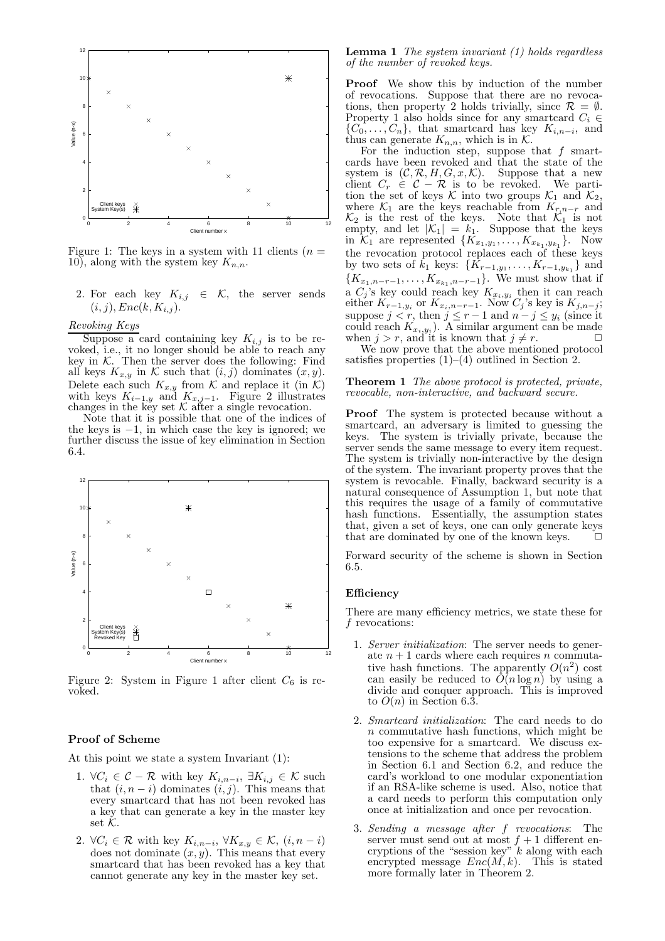

Figure 1: The keys in a system with 11 clients  $(n =$ 10), along with the system key  $K_{n,n}$ .

2. For each key  $K_{i,j} \in \mathcal{K}$ , the server sends  $(i, j), Enc(k, K_{i,j}).$ 

# Revoking Keys

Suppose a card containing key  $K_{i,j}$  is to be revoked, i.e., it no longer should be able to reach any key in  $K$ . Then the server does the following: Find all keys  $K_{x,y}$  in K such that  $(i, j)$  dominates  $(x, y)$ . Delete each such  $K_{x,y}$  from K and replace it (in K) with keys  $K_{i-1,y}$  and  $K_{x,j-1}$ . Figure 2 illustrates changes in the key set  $\mathcal K$  after a single revocation.

Note that it is possible that one of the indices of the keys is  $-1$ , in which case the key is ignored; we further discuss the issue of key elimination in Section 6.4.



Figure 2: System in Figure 1 after client  $C_6$  is revoked.

#### Proof of Scheme

At this point we state a system Invariant (1):

- 1.  $\forall C_i \in \mathcal{C} \mathcal{R}$  with key  $K_{i,n-i}, \exists K_{i,j} \in \mathcal{K}$  such that  $(i, n - i)$  dominates  $(i, j)$ . This means that every smartcard that has not been revoked has a key that can generate a key in the master key set  $K$ .
- 2.  $\forall C_i \in \mathcal{R}$  with key  $K_{i,n-i}, \forall K_{x,y} \in \mathcal{K}, (i, n-i)$ does not dominate  $(x, y)$ . This means that every smartcard that has been revoked has a key that cannot generate any key in the master key set.

**Lemma 1** The system invariant  $(1)$  holds regardless of the number of revoked keys.

Proof We show this by induction of the number of revocations. Suppose that there are no revocations, then property 2 holds trivially, since  $\mathcal{R} = \emptyset$ . Property 1 also holds since for any smartcard  $C_i \in$  ${C_0, \ldots, C_n}$ , that smartcard has key  $K_{i,n-i}$ , and thus can generate  $K_{n,n}$ , which is in  $\mathcal{K}$ .

For the induction step, suppose that  $f$  smartcards have been revoked and that the state of the system is  $(C, \mathcal{R}, H, G, x, \mathcal{K})$ . Suppose that a new client  $C_r \in \mathcal{C} - \mathcal{R}$  is to be revoked. We partition the set of keys  $K$  into two groups  $\mathcal{K}_1$  and  $\mathcal{K}_2$ , where  $\mathcal{K}_1$  are the keys reachable from  $K_{r,n-r}$  and  $\mathcal{K}_2$  is the rest of the keys. Note that  $\mathcal{K}_1$  is not empty, and let  $|\mathcal{K}_1| = k_1$ . Suppose that the keys in  $\mathcal{K}_1$  are represented  $\{K_{x_1,y_1},\ldots,K_{x_{k_1},y_{k_1}}\}$ . Now the revocation protocol replaces each of these keys by two sets of  $k_1$  keys:  $\{K_{r-1,y_1}, \ldots, K_{r-1,y_{k_1}}\}$  and  $\{K_{x_1,n-r-1},\ldots,K_{x_{k_1},n-r-1}\}.$  We must show that if a  $C_j$ 's key could reach key  $K_{x_i,y_i}$  then it can reach either  $K_{r-1,y_i}$  or  $K_{x_i,n-r-1}$ . Now  $C_j$ 's key is  $K_{j,n-j}$ ; suppose  $j < r$ , then  $j \leq r - 1$  and  $n - j \leq y_i$  (since it could reach  $K_{x_i, y_i}$ ). A similar argument can be made when  $j > r$ , and it is known that  $j \neq r$ .

We now prove that the above mentioned protocol satisfies properties  $(1)$ – $(4)$  outlined in Section 2.

#### **Theorem 1** The above protocol is protected, private, revocable, non-interactive, and backward secure.

Proof The system is protected because without a smartcard, an adversary is limited to guessing the keys. The system is trivially private, because the server sends the same message to every item request. The system is trivially non-interactive by the design of the system. The invariant property proves that the system is revocable. Finally, backward security is a natural consequence of Assumption 1, but note that this requires the usage of a family of commutative hash functions. Essentially, the assumption states that, given a set of keys, one can only generate keys that are dominated by one of the known keys.

Forward security of the scheme is shown in Section 6.5.

#### Efficiency

There are many efficiency metrics, we state these for f revocations:

- 1. Server initialization: The server needs to generate  $n+1$  cards where each requires n commutative hash functions. The apparently  $O(n^2)$  cost can easily be reduced to  $O(n \log n)$  by using a divide and conquer approach. This is improved to  $O(n)$  in Section 6.3.
- 2. Smartcard initialization: The card needs to do  $n$  commutative hash functions, which might be too expensive for a smartcard. We discuss extensions to the scheme that address the problem in Section 6.1 and Section 6.2, and reduce the card's workload to one modular exponentiation if an RSA-like scheme is used. Also, notice that a card needs to perform this computation only once at initialization and once per revocation.
- 3. Sending a message after f revocations: The server must send out at most  $f + 1$  different encryptions of the "session key"  $k$  along with each encrypted message  $Enc(M, k)$ . This is stated more formally later in Theorem 2.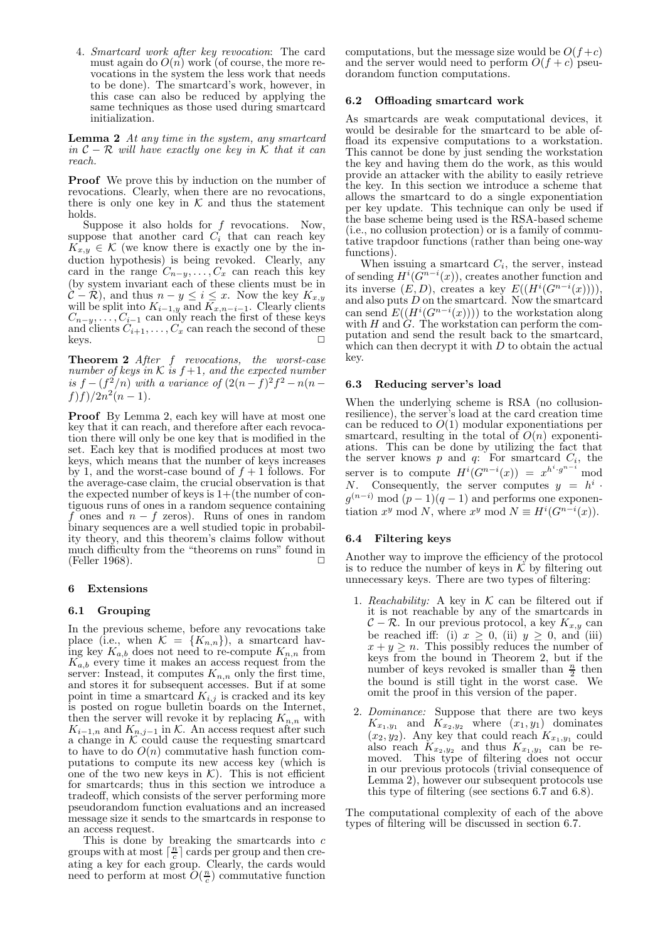4. Smartcard work after key revocation: The card must again do  $O(n)$  work (of course, the more revocations in the system the less work that needs to be done). The smartcard's work, however, in this case can also be reduced by applying the same techniques as those used during smartcard initialization.

Lemma 2 At any time in the system, any smartcard in  $C - \mathcal{R}$  will have exactly one key in K that it can reach.

**Proof** We prove this by induction on the number of revocations. Clearly, when there are no revocations, there is only one key in  $K$  and thus the statement holds.

Suppose it also holds for  $f$  revocations. Now, suppose that another card  $C_i$  that can reach key  $K_{x,y} \in \mathcal{K}$  (we know there is exactly one by the induction hypothesis) is being revoked. Clearly, any card in the range  $C_{n-y}, \ldots, C_x$  can reach this key (by system invariant each of these clients must be in  $\mathcal{C} - \mathcal{R}$ ), and thus  $n - y \leq i \leq x$ . Now the key  $K_{x,y}$  will be split into  $K_{i-1,y}$  and  $K_{x,n-i-1}$ . Clearly clients  $C_{n-y}, \ldots, C_{i-1}$  can only reach the first of these keys and clients  $C_{i+1}, \ldots, C_x$  can reach the second of these<br>keys.

Theorem 2 After f revocations, the worst-case number of keys in  $K$  is  $f+1$ , and the expected number is  $f - (f^2/n)$  with a variance of  $(2(n-f)^2f^2 - n(n-f))$  $f) f) / 2n^2(n-1).$ 

Proof By Lemma 2, each key will have at most one key that it can reach, and therefore after each revocation there will only be one key that is modified in the set. Each key that is modified produces at most two keys, which means that the number of keys increases by 1, and the worst-case bound of  $f + 1$  follows. For the average-case claim, the crucial observation is that the expected number of keys is  $1+($ the number of contiguous runs of ones in a random sequence containing f ones and  $n - f$  zeros). Runs of ones in random binary sequences are a well studied topic in probability theory, and this theorem's claims follow without much difficulty from the "theorems on runs" found in (Feller 1968). □

## 6 Extensions

#### 6.1 Grouping

In the previous scheme, before any revocations take place (i.e., when  $\mathcal{K} = \{K_{n,n}\}\)$ , a smartcard having key  $K_{a,b}$  does not need to re-compute  $K_{n,n}$  from  $K_{a,b}$  every time it makes an access request from the server: Instead, it computes  $K_{n,n}$  only the first time, and stores it for subsequent accesses. But if at some point in time a smartcard  $K_{i,j}$  is cracked and its key is posted on rogue bulletin boards on the Internet, then the server will revoke it by replacing  $K_{n,n}$  with  $K_{i-1,n}$  and  $K_{n,j-1}$  in K. An access request after such a change in  $\overline{\mathcal{K}}$  could cause the requesting smartcard to have to do  $O(n)$  commutative hash function computations to compute its new access key (which is one of the two new keys in  $K$ ). This is not efficient for smartcards; thus in this section we introduce a tradeoff, which consists of the server performing more pseudorandom function evaluations and an increased message size it sends to the smartcards in response to an access request.

This is done by breaking the smartcards into  $c$ groups with at most  $\lceil \frac{n}{c} \rceil$  cards per group and then creating a key for each group. Clearly, the cards would need to perform at most  $\hat{O}(\frac{n}{c})$  commutative function

computations, but the message size would be  $O(f+c)$ and the server would need to perform  $O(f+c)$  pseudorandom function computations.

#### 6.2 Offloading smartcard work

As smartcards are weak computational devices, it would be desirable for the smartcard to be able offload its expensive computations to a workstation. This cannot be done by just sending the workstation the key and having them do the work, as this would provide an attacker with the ability to easily retrieve the key. In this section we introduce a scheme that allows the smartcard to do a single exponentiation per key update. This technique can only be used if the base scheme being used is the RSA-based scheme (i.e., no collusion protection) or is a family of commutative trapdoor functions (rather than being one-way functions).

When issuing a smartcard  $C_i$ , the server, instead of sending  $H^i(G^{n-i}(x))$ , creates another function and its inverse  $(E, D)$ , creates a key  $E((H^{i}(G^{n-i}(x))))$ , and also puts  $\hat{D}$  on the smartcard. Now the smartcard can send  $E((H^i(G^{n-i}(x))))$  to the workstation along with H and  $\hat{G}$ . The workstation can perform the computation and send the result back to the smartcard, which can then decrypt it with  $D$  to obtain the actual key.

## 6.3 Reducing server's load

When the underlying scheme is RSA (no collusionresilience), the server's load at the card creation time can be reduced to  $O(1)$  modular exponentiations per smartcard, resulting in the total of  $O(n)$  exponentiations. This can be done by utilizing the fact that the server knows  $p$  and  $q$ : For smartcard  $C_i$ , the server is to compute  $H^{i}(G^{n-i}(x)) = x^{h^{i} \cdot g^{n-i}}$  mod N. Consequently, the server computes  $y = h^i$ .  $g^{(n-i)} \mod (p-1)(q-1)$  and performs one exponentiation  $x^y \mod N$ , where  $x^y \mod N \equiv H^i(G^{n-i}(x))$ .

#### 6.4 Filtering keys

Another way to improve the efficiency of the protocol is to reduce the number of keys in  $\check{\mathcal{K}}$  by filtering out unnecessary keys. There are two types of filtering:

- Reachability: A key in  $K$  can be filtered out if it is not reachable by any of the smartcards in  $\mathcal{C} - \mathcal{R}$ . In our previous protocol, a key  $K_{x,y}$  can be reached iff: (i)  $x \geq 0$ , (ii)  $y \geq 0$ , and (iii)  $x + y \geq n$ . This possibly reduces the number of keys from the bound in Theorem 2, but if the number of keys revoked is smaller than  $\frac{n}{2}$  then the bound is still tight in the worst case. We omit the proof in this version of the paper.
- 2. Dominance: Suppose that there are two keys  $K_{x_1,y_1}$  and  $K_{x_2,y_2}$  where  $(x_1,y_1)$  dominates  $(x_2, y_2)$ . Any key that could reach  $K_{x_1, y_1}$  could also reach  $K_{x_2,y_2}$  and thus  $K_{x_1,y_1}$  can be removed. This type of filtering does not occur in our previous protocols (trivial consequence of Lemma 2), however our subsequent protocols use this type of filtering (see sections 6.7 and 6.8).

The computational complexity of each of the above types of filtering will be discussed in section 6.7.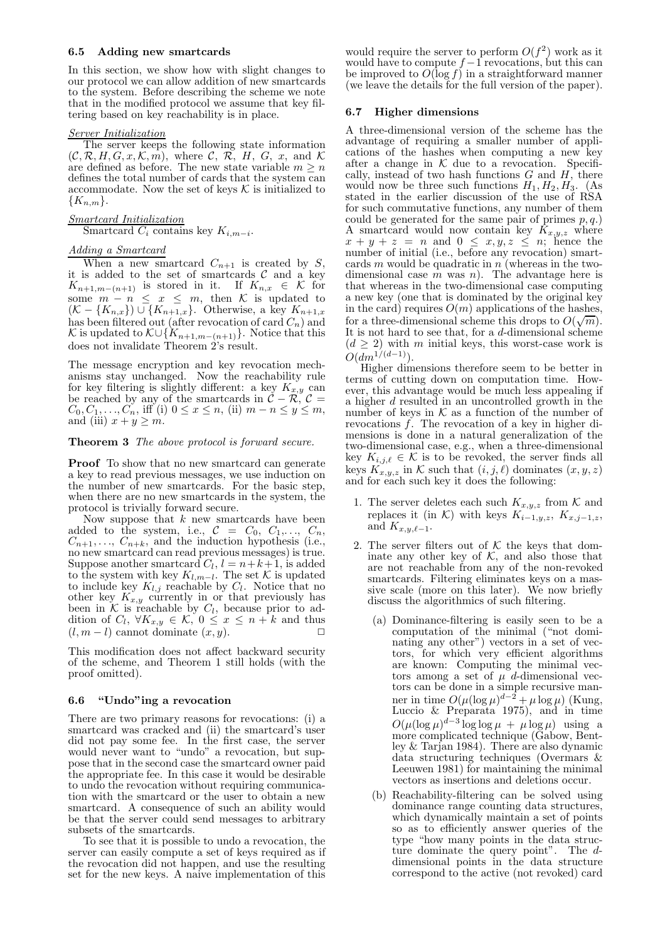#### 6.5 Adding new smartcards

In this section, we show how with slight changes to our protocol we can allow addition of new smartcards to the system. Before describing the scheme we note that in the modified protocol we assume that key filtering based on key reachability is in place.

#### Server Initialization

The server keeps the following state information  $(C, \mathcal{R}, H, G, x, \mathcal{K}, m)$ , where C, R, H, G, x, and K are defined as before. The new state variable  $m > n$ defines the total number of cards that the system can accommodate. Now the set of keys  $K$  is initialized to  ${K_{n,m}}.$ 

Smartcard Initialization Smartcard  $C_i$  contains key  $K_{i,m-i}$ .

# Adding a Smartcard

When a new smartcard  $C_{n+1}$  is created by S, it is added to the set of smartcards  $C$  and a key  $K_{n+1,m-(n+1)}$  is stored in it. If  $K_{n,x} \in \mathcal{K}$  for some  $m - n \leq x \leq m$ , then K is updated to  $(K - \{K_{n,x}\}) \cup \{K_{n+1,x}\}.$  Otherwise, a key  $K_{n+1,x}$ has been filtered out (after revocation of card  $C_n$ ) and K is updated to  $\mathcal{K} \cup \{K_{n+1,m-(n+1)}\}$ . Notice that this does not invalidate Theorem 2's result.

The message encryption and key revocation mechanisms stay unchanged. Now the reachability rule for key filtering is slightly different: a key  $K_{x,y}$  can be reached by any of the smartcards in  $\mathcal{C} - \mathcal{R}, \mathcal{C} =$  $C_0, C_1, \ldots, C_n$ , iff (i)  $0 \le x \le n$ , (ii)  $m - n \le y \le m$ , and (iii)  $x + y \ge m$ .

# Theorem 3 The above protocol is forward secure.

Proof To show that no new smartcard can generate a key to read previous messages, we use induction on the number of new smartcards. For the basic step, when there are no new smartcards in the system, the protocol is trivially forward secure.

Now suppose that  $k$  new smartcards have been added to the system, i.e.,  $C = C_0, C_1, \ldots, C_n$ ,  $C_{n+1}, \ldots, C_{n+k}$ , and the induction hypothesis (i.e., no new smartcard can read previous messages) is true. Suppose another smartcard  $C_l$ ,  $l = n+k+1$ , is added to the system with key  $K_{l,m-l}$ . The set K is updated to include key  $K_{l,j}$  reachable by  $C_l$ . Notice that no other key  $K_{x,y}$  currently in or that previously has been in K is reachable by  $C_l$ , because prior to addition of  $C_l$ ,  $\forall K_{x,y} \in \mathcal{K}$ ,  $0 \leq x \leq n+k$  and thus  $(l, m-l)$  cannot dominate  $(x, y)$ .  $\Box$ 

This modification does not affect backward security of the scheme, and Theorem 1 still holds (with the proof omitted).

## 6.6 "Undo"ing a revocation

There are two primary reasons for revocations: (i) a smartcard was cracked and (ii) the smartcard's user did not pay some fee. In the first case, the server would never want to "undo" a revocation, but suppose that in the second case the smartcard owner paid the appropriate fee. In this case it would be desirable to undo the revocation without requiring communication with the smartcard or the user to obtain a new smartcard. A consequence of such an ability would be that the server could send messages to arbitrary subsets of the smartcards.

To see that it is possible to undo a revocation, the server can easily compute a set of keys required as if the revocation did not happen, and use the resulting set for the new keys. A naive implementation of this

would require the server to perform  $O(f^2)$  work as it would have to compute  $f-1$  revocations, but this can<br>be improved to  $O(\log f)$  in a straightforward manner (we leave the details for the full version of the paper).

#### 6.7 Higher dimensions

A three-dimensional version of the scheme has the advantage of requiring a smaller number of applications of the hashes when computing a new key after a change in  $K$  due to a revocation. Specifically, instead of two hash functions  $G$  and  $H$ , there would now be three such functions  $H_1, H_2, H_3$ . (As stated in the earlier discussion of the use of RSA for such commutative functions, any number of them could be generated for the same pair of primes  $p, q$ .) A smartcard would now contain key  $K_{x,y,z}$  where  $x + y + z = n$  and  $0 \leq x, y, z \leq n$ ; hence the number of initial (i.e., before any revocation) smartcards  $m$  would be quadratic in  $n$  (whereas in the twodimensional case  $m$  was  $n$ ). The advantage here is that whereas in the two-dimensional case computing a new key (one that is dominated by the original key in the card) requires  $O(m)$  applications of the hashes, for a three-dimensional scheme this drops to  $O(\sqrt{m})$ . It is not hard to see that, for a d-dimensional scheme  $(d \geq 2)$  with m initial keys, this worst-case work is  $O(dm^{1/(d-1)})$ .

Higher dimensions therefore seem to be better in terms of cutting down on computation time. However, this advantage would be much less appealing if a higher  $d$  resulted in an uncontrolled growth in the number of keys in  $K$  as a function of the number of revocations  $\ddot{f}$ . The revocation of a key in higher dimensions is done in a natural generalization of the two-dimensional case, e.g., when a three-dimensional key  $K_{i,j,\ell} \in \mathcal{K}$  is to be revoked, the server finds all keys  $K_{x,y,z}$  in K such that  $(i, j, \ell)$  dominates  $(x, y, z)$  and for each such key it does the following:

- 1. The server deletes each such  $K_{x,y,z}$  from K and replaces it (in K) with keys  $K_{i-1,y,z}$ ,  $K_{x,j-1,z}$ , and  $K_{x,y,\ell-1}$ .
- 2. The server filters out of  $K$  the keys that dominate any other key of  $K$ , and also those that are not reachable from any of the non-revoked smartcards. Filtering eliminates keys on a massive scale (more on this later). We now briefly discuss the algorithmics of such filtering.
	- (a) Dominance-filtering is easily seen to be a computation of the minimal ("not dominating any other") vectors in a set of vectors, for which very efficient algorithms are known: Computing the minimal vectors among a set of  $\mu$  d-dimensional vectors can be done in a simple recursive manner in time  $O(\mu(\log \mu)^{d-2} + \mu \log \mu)$  (Kung, Luccio & Preparata 1975), and in time  $O(\mu(\log \mu)^{d-3}\log\log \mu + \mu \log \mu)$  using a more complicated technique (Gabow, Bentley & Tarjan 1984). There are also dynamic data structuring techniques (Overmars & Leeuwen 1981) for maintaining the minimal vectors as insertions and deletions occur.
	- (b) Reachability-filtering can be solved using dominance range counting data structures, which dynamically maintain a set of points so as to efficiently answer queries of the type "how many points in the data structure dominate the query point". The  $d$ dimensional points in the data structure correspond to the active (not revoked) card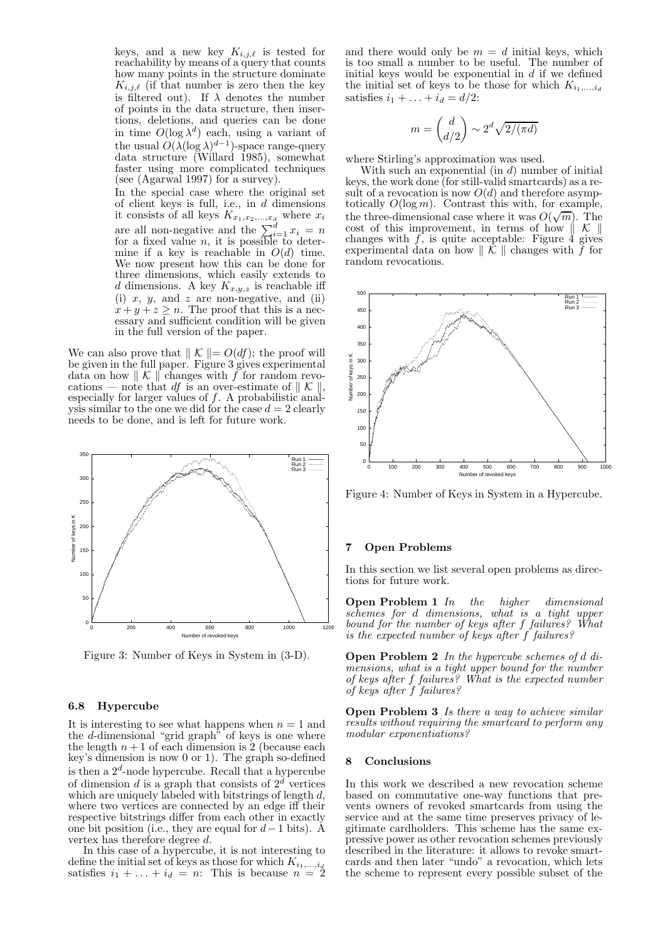keys, and a new key  $K_{i,j,\ell}$  is tested for reachability by means of a query that counts how many points in the structure dominate  $K_{i,j,\ell}$  (if that number is zero then the key is filtered out). If  $\lambda$  denotes the number of points in the data structure, then insertions, deletions, and queries can be done in time  $O(\log \lambda^d)$  each, using a variant of the usual  $O(\lambda(\log \lambda)^{d-1})$ -space range-query data structure (Willard 1985), somewhat faster using more complicated techniques (see (Agarwal 1997) for a survey).

In the special case where the original set of client keys is full, i.e., in  $d$  dimensions it consists of all keys  $K_{x_1,x_2,...,x_d}$  where  $x_i$ are all non-negative and the  $\sum_{i=1}^{d} x_i = n$  for a fixed value *n*, it is possible to determine if a key is reachable in  $O(d)$  time. We now present how this can be done for three dimensions, which easily extends to d dimensions. A key  $K_{x,y,z}$  is reachable iff (i)  $x, y,$  and  $z$  are non-negative, and (ii)  $x + y + z \geq n$ . The proof that this is a necessary and sufficient condition will be given in the full version of the paper.

We can also prove that  $\Vert K \Vert = O(df)$ ; the proof will be given in the full paper. Figure 3 gives experimental data on how  $\parallel \mathcal{K} \parallel$  changes with f for random revocations — note that df is an over-estimate of  $\mathcal{K} \parallel \mathcal{K} \parallel$ , especially for larger values of f. A probabilistic analysis similar to the one we did for the case  $d = 2$  clearly needs to be done, and is left for future work.



Figure 3: Number of Keys in System in (3-D).

#### 6.8 Hypercube

It is interesting to see what happens when  $n = 1$  and the d-dimensional "grid graph" of keys is one where the length  $n+1$  of each dimension is 2 (because each key's dimension is now 0 or 1). The graph so-defined is then a  $2^d$ -node hypercube. Recall that a hypercube of dimension d is a graph that consists of  $2^d$  vertices which are uniquely labeled with bitstrings of length  $d$ , where two vertices are connected by an edge iff their respective bitstrings differ from each other in exactly one bit position (i.e., they are equal for  $d-1$  bits). Å vertex has therefore degree d.

In this case of a hypercube, it is not interesting to define the initial set of keys as those for which  $K_{i_1,\dots,i_d}$ satisfies  $i_1 + \ldots + i_d = n$ : This is because  $n = 2$ 

and there would only be  $m = d$  initial keys, which is too small a number to be useful. The number of initial keys would be exponential in  $d$  if we defined the initial set of keys to be those for which  $K_{i_1,\ldots,i_d}$ satisfies  $i_1 + \ldots + i_d = d/2$ :

$$
m = \binom{d}{d/2} \sim 2^d \sqrt{2/(\pi d)}
$$

where Stirling's approximation was used.

With such an exponential (in  $d$ ) number of initial keys, the work done (for still-valid smartcards) as a result of a revocation is now  $O(d)$  and therefore asymptotically  $O(\log m)$ . Contrast this with, for example, the three-dimensional case where it was  $O(\sqrt{m})$ . The cost of this improvement, in terms of how  $\parallel \mathcal{K} \parallel$ changes with  $f$ , is quite acceptable: Figure 4 gives experimental data on how  $\parallel \mathcal{K} \parallel$  changes with f for random revocations.



Figure 4: Number of Keys in System in a Hypercube.

## 7 Open Problems

In this section we list several open problems as directions for future work.

**Open Problem 1** In the higher dimensional schemes for d dimensions, what is a tight upper bound for the number of keys after f failures? What is the expected number of keys after f failures?

Open Problem 2 In the hypercube schemes of d dimensions, what is a tight upper bound for the number of keys after f failures? What is the expected number of keys after f failures?

**Open Problem 3** Is there a way to achieve similar results without requiring the smartcard to perform any modular exponentiations?

#### 8 Conclusions

In this work we described a new revocation scheme based on commutative one-way functions that prevents owners of revoked smartcards from using the service and at the same time preserves privacy of legitimate cardholders. This scheme has the same expressive power as other revocation schemes previously described in the literature: it allows to revoke smartcards and then later "undo" a revocation, which lets the scheme to represent every possible subset of the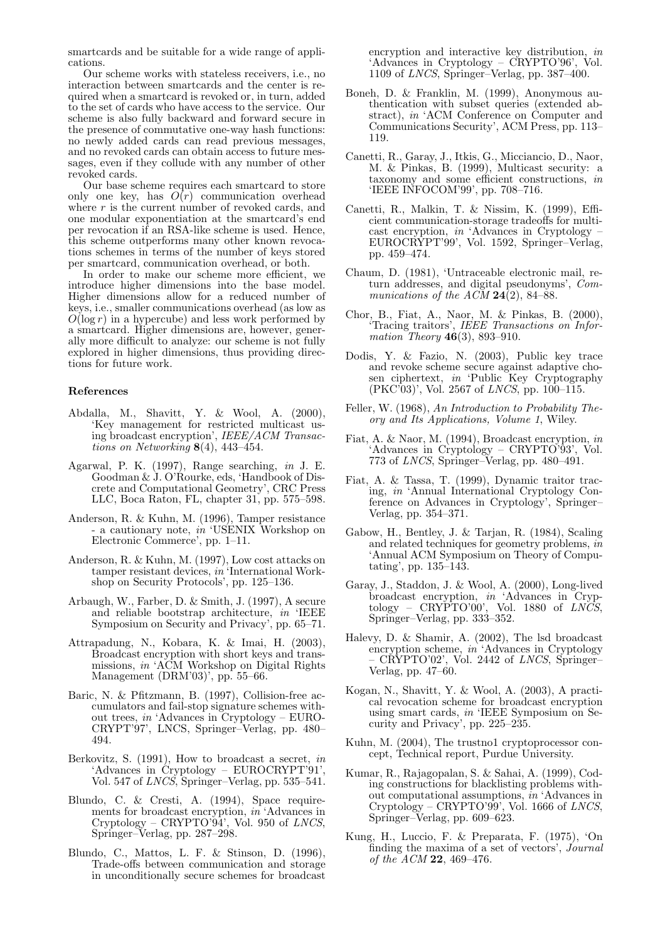smartcards and be suitable for a wide range of applications.

Our scheme works with stateless receivers, i.e., no interaction between smartcards and the center is required when a smartcard is revoked or, in turn, added to the set of cards who have access to the service. Our scheme is also fully backward and forward secure in the presence of commutative one-way hash functions: no newly added cards can read previous messages, and no revoked cards can obtain access to future messages, even if they collude with any number of other revoked cards.

Our base scheme requires each smartcard to store only one key, has  $O(r)$  communication overhead where  $r$  is the current number of revoked cards, and one modular exponentiation at the smartcard's end per revocation if an RSA-like scheme is used. Hence, this scheme outperforms many other known revocations schemes in terms of the number of keys stored per smartcard, communication overhead, or both.

In order to make our scheme more efficient, we introduce higher dimensions into the base model. Higher dimensions allow for a reduced number of keys, i.e., smaller communications overhead (as low as  $O(\log r)$  in a hypercube) and less work performed by a smartcard. Higher dimensions are, however, generally more difficult to analyze: our scheme is not fully explored in higher dimensions, thus providing directions for future work.

#### References

- Abdalla, M., Shavitt, Y. & Wool, A. (2000), 'Key management for restricted multicast using broadcast encryption', IEEE/ACM Transactions on Networking 8(4), 443–454.
- Agarwal, P. K. (1997), Range searching, in J. E. Goodman & J. O'Rourke, eds, 'Handbook of Discrete and Computational Geometry', CRC Press LLC, Boca Raton, FL, chapter 31, pp. 575–598.
- Anderson, R. & Kuhn, M. (1996), Tamper resistance - a cautionary note, in 'USENIX Workshop on Electronic Commerce', pp. 1–11.
- Anderson, R. & Kuhn, M. (1997), Low cost attacks on tamper resistant devices, in 'International Workshop on Security Protocols', pp. 125–136.
- Arbaugh, W., Farber, D. & Smith, J. (1997), A secure and reliable bootstrap architecture, in 'IEEE Symposium on Security and Privacy', pp. 65–71.
- Attrapadung, N., Kobara, K. & Imai, H. (2003), Broadcast encryption with short keys and transmissions, in 'ACM Workshop on Digital Rights Management (DRM'03)', pp. 55–66.
- Baric, N. & Pfitzmann, B. (1997), Collision-free accumulators and fail-stop signature schemes without trees, in 'Advances in Cryptology – EURO-CRYPT'97', LNCS, Springer–Verlag, pp. 480– 494.
- Berkovitz, S. (1991), How to broadcast a secret, in 'Advances in Cryptology – EUROCRYPT'91', Vol. 547 of LNCS, Springer–Verlag, pp. 535–541.
- Blundo, C. & Cresti, A. (1994), Space requirements for broadcast encryption, in 'Advances in Cryptology – CRYPTO'94', Vol. 950 of LNCS, Springer–Verlag, pp. 287–298.
- Blundo, C., Mattos, L. F. & Stinson, D. (1996), Trade-offs between communication and storage in unconditionally secure schemes for broadcast

encryption and interactive key distribution, in 'Advances in Cryptology – CRYPTO'96', Vol. 1109 of LNCS, Springer–Verlag, pp. 387–400.

- Boneh, D. & Franklin, M. (1999), Anonymous authentication with subset queries (extended abstract), in 'ACM Conference on Computer and Communications Security', ACM Press, pp. 113– 119.
- Canetti, R., Garay, J., Itkis, G., Micciancio, D., Naor, M. & Pinkas, B. (1999), Multicast security: a taxonomy and some efficient constructions, in 'IEEE INFOCOM'99', pp. 708–716.
- Canetti, R., Malkin, T. & Nissim, K. (1999), Efficient communication-storage tradeoffs for multicast encryption, in 'Advances in Cryptology – EUROCRYPT'99', Vol. 1592, Springer–Verlag, pp. 459–474.
- Chaum, D. (1981), 'Untraceable electronic mail, return addresses, and digital pseudonyms', Communications of the  $AC\overline{M}$  **24**(2), 84–88.
- Chor, B., Fiat, A., Naor, M. & Pinkas, B. (2000), 'Tracing traitors', IEEE Transactions on Information Theory  $46(3)$ , 893-910.
- Dodis, Y. & Fazio, N. (2003), Public key trace and revoke scheme secure against adaptive chosen ciphertext, in 'Public Key Cryptography (PKC'03)', Vol. 2567 of LNCS, pp. 100–115.
- Feller, W. (1968), An Introduction to Probability Theory and Its Applications, Volume 1, Wiley.
- Fiat, A. & Naor, M. (1994), Broadcast encryption, in 'Advances in Cryptology – CRYPTO'93', Vol. 773 of LNCS, Springer–Verlag, pp. 480–491.
- Fiat, A. & Tassa, T. (1999), Dynamic traitor tracing, in 'Annual International Cryptology Conference on Advances in Cryptology', Springer– Verlag, pp. 354–371.
- Gabow, H., Bentley, J. & Tarjan, R. (1984), Scaling and related techniques for geometry problems, in 'Annual ACM Symposium on Theory of Computating', pp. 135–143.
- Garay, J., Staddon, J. & Wool, A. (2000), Long-lived broadcast encryption, in 'Advances in Cryptology – CRYPTO'00', Vol. 1880 of LNCS, Springer–Verlag, pp. 333–352.
- Halevy, D. & Shamir, A. (2002), The lsd broadcast encryption scheme, in 'Advances in Cryptology – CRYPTO'02', Vol. 2442 of LNCS, Springer– Verlag, pp. 47–60.
- Kogan, N., Shavitt, Y. & Wool, A. (2003), A practical revocation scheme for broadcast encryption using smart cards, in 'IEEE Symposium on Security and Privacy', pp. 225–235.
- Kuhn, M. (2004), The trustno1 cryptoprocessor concept, Technical report, Purdue University.
- Kumar, R., Rajagopalan, S. & Sahai, A. (1999), Coding constructions for blacklisting problems without computational assumptions, in 'Advances in  $Cryptology - CRYPTO'99'$ , Vol. 1666 of *LNCS*, Springer–Verlag, pp. 609–623.
- Kung, H., Luccio, F. & Preparata, F. (1975), 'On finding the maxima of a set of vectors', Journal of the ACM 22, 469–476.